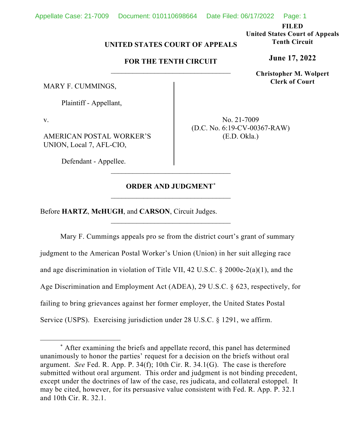**FILED**

**United States Court of Appeals Tenth Circuit**

**June 17, 2022**

**Christopher M. Wolpert Clerk of Court**

## **UNITED STATES COURT OF APPEALS**

## **FOR THE TENTH CIRCUIT** \_\_\_\_\_\_\_\_\_\_\_\_\_\_\_\_\_\_\_\_\_\_\_\_\_\_\_\_\_\_\_\_\_

MARY F. CUMMINGS,

Plaintiff - Appellant,

v.

AMERICAN POSTAL WORKER'S UNION, Local 7, AFL-CIO,

Defendant - Appellee.

No. 21-7009 (D.C. No. 6:19-CV-00367-RAW) (E.D. Okla.)

## **ORDER AND JUDGMENT[\\*](#page-0-0)**  $\overline{\phantom{a}}$  , where  $\overline{\phantom{a}}$  , where  $\overline{\phantom{a}}$  ,  $\overline{\phantom{a}}$  ,  $\overline{\phantom{a}}$  ,  $\overline{\phantom{a}}$  ,  $\overline{\phantom{a}}$  ,  $\overline{\phantom{a}}$  ,  $\overline{\phantom{a}}$  ,  $\overline{\phantom{a}}$  ,  $\overline{\phantom{a}}$  ,  $\overline{\phantom{a}}$  ,  $\overline{\phantom{a}}$  ,  $\overline{\phantom{a}}$  ,  $\overline{\phantom{a}}$  ,

\_\_\_\_\_\_\_\_\_\_\_\_\_\_\_\_\_\_\_\_\_\_\_\_\_\_\_\_\_\_\_\_\_

\_\_\_\_\_\_\_\_\_\_\_\_\_\_\_\_\_\_\_\_\_\_\_\_\_\_\_\_\_\_\_\_\_

Before **HARTZ**, **McHUGH**, and **CARSON**, Circuit Judges.

Mary F. Cummings appeals pro se from the district court's grant of summary judgment to the American Postal Worker's Union (Union) in her suit alleging race and age discrimination in violation of Title VII, 42 U.S.C. § 2000e-2(a)(1), and the Age Discrimination and Employment Act (ADEA), 29 U.S.C. § 623, respectively, for failing to bring grievances against her former employer, the United States Postal Service (USPS). Exercising jurisdiction under 28 U.S.C. § 1291, we affirm.

<span id="page-0-0"></span><sup>\*</sup> After examining the briefs and appellate record, this panel has determined unanimously to honor the parties' request for a decision on the briefs without oral argument. *See* Fed. R. App. P. 34(f); 10th Cir. R. 34.1(G). The case is therefore submitted without oral argument. This order and judgment is not binding precedent, except under the doctrines of law of the case, res judicata, and collateral estoppel. It may be cited, however, for its persuasive value consistent with Fed. R. App. P. 32.1 and 10th Cir. R. 32.1.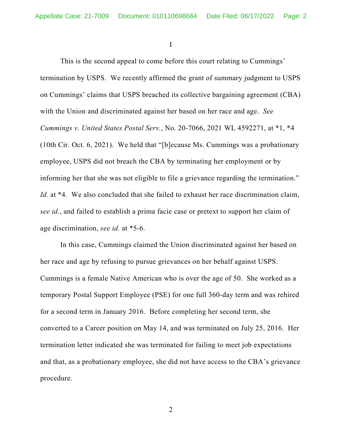I

This is the second appeal to come before this court relating to Cummings' termination by USPS. We recently affirmed the grant of summary judgment to USPS on Cummings' claims that USPS breached its collective bargaining agreement (CBA) with the Union and discriminated against her based on her race and age. *See Cummings v. United States Postal Serv.*, No. 20-7066, 2021 WL 4592271, at \*1, \*4 (10th Cir. Oct. 6, 2021). We held that "[b]ecause Ms. Cummings was a probationary employee, USPS did not breach the CBA by terminating her employment or by informing her that she was not eligible to file a grievance regarding the termination." *Id.* at \*4. We also concluded that she failed to exhaust her race discrimination claim, *see id.*, and failed to establish a prima facie case or pretext to support her claim of age discrimination, *see id.* at \*5-6.

In this case, Cummings claimed the Union discriminated against her based on her race and age by refusing to pursue grievances on her behalf against USPS. Cummings is a female Native American who is over the age of 50. She worked as a temporary Postal Support Employee (PSE) for one full 360-day term and was rehired for a second term in January 2016. Before completing her second term, she converted to a Career position on May 14, and was terminated on July 25, 2016. Her termination letter indicated she was terminated for failing to meet job expectations and that, as a probationary employee, she did not have access to the CBA's grievance procedure.

2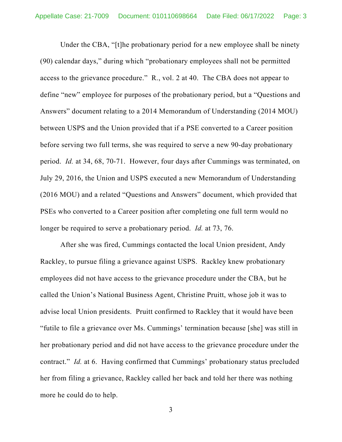Under the CBA, "[t]he probationary period for a new employee shall be ninety (90) calendar days," during which "probationary employees shall not be permitted access to the grievance procedure." R., vol. 2 at 40. The CBA does not appear to define "new" employee for purposes of the probationary period, but a "Questions and Answers" document relating to a 2014 Memorandum of Understanding (2014 MOU) between USPS and the Union provided that if a PSE converted to a Career position before serving two full terms, she was required to serve a new 90-day probationary period. *Id.* at 34, 68, 70-71. However, four days after Cummings was terminated, on July 29, 2016, the Union and USPS executed a new Memorandum of Understanding (2016 MOU) and a related "Questions and Answers" document, which provided that PSEs who converted to a Career position after completing one full term would no longer be required to serve a probationary period. *Id.* at 73, 76.

After she was fired, Cummings contacted the local Union president, Andy Rackley, to pursue filing a grievance against USPS. Rackley knew probationary employees did not have access to the grievance procedure under the CBA, but he called the Union's National Business Agent, Christine Pruitt, whose job it was to advise local Union presidents. Pruitt confirmed to Rackley that it would have been "futile to file a grievance over Ms. Cummings' termination because [she] was still in her probationary period and did not have access to the grievance procedure under the contract." *Id.* at 6. Having confirmed that Cummings' probationary status precluded her from filing a grievance, Rackley called her back and told her there was nothing more he could do to help.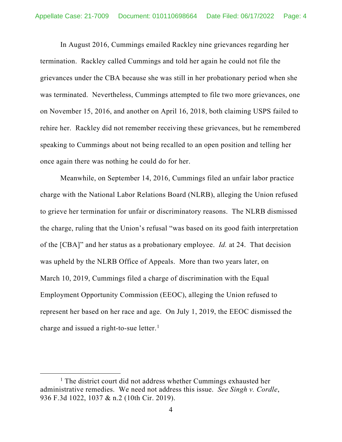In August 2016, Cummings emailed Rackley nine grievances regarding her termination. Rackley called Cummings and told her again he could not file the grievances under the CBA because she was still in her probationary period when she was terminated. Nevertheless, Cummings attempted to file two more grievances, one on November 15, 2016, and another on April 16, 2018, both claiming USPS failed to rehire her. Rackley did not remember receiving these grievances, but he remembered speaking to Cummings about not being recalled to an open position and telling her once again there was nothing he could do for her.

Meanwhile, on September 14, 2016, Cummings filed an unfair labor practice charge with the National Labor Relations Board (NLRB), alleging the Union refused to grieve her termination for unfair or discriminatory reasons. The NLRB dismissed the charge, ruling that the Union's refusal "was based on its good faith interpretation of the [CBA]" and her status as a probationary employee. *Id.* at 24. That decision was upheld by the NLRB Office of Appeals. More than two years later, on March 10, 2019, Cummings filed a charge of discrimination with the Equal Employment Opportunity Commission (EEOC), alleging the Union refused to represent her based on her race and age. On July 1, 2019, the EEOC dismissed the charge and issued a right-to-sue letter.<sup>[1](#page-3-0)</sup>

<span id="page-3-0"></span> $<sup>1</sup>$  The district court did not address whether Cummings exhausted her</sup> administrative remedies. We need not address this issue. *See Singh v. Cordle*, 936 F.3d 1022, 1037 & n.2 (10th Cir. 2019).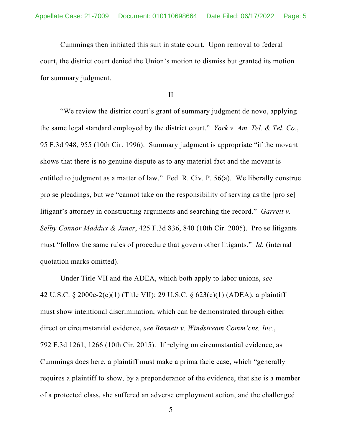Cummings then initiated this suit in state court. Upon removal to federal court, the district court denied the Union's motion to dismiss but granted its motion for summary judgment.

II

"We review the district court's grant of summary judgment de novo, applying the same legal standard employed by the district court." *York v. Am. Tel. & Tel. Co.*, 95 F.3d 948, 955 (10th Cir. 1996). Summary judgment is appropriate "if the movant shows that there is no genuine dispute as to any material fact and the movant is entitled to judgment as a matter of law." Fed. R. Civ. P. 56(a). We liberally construe pro se pleadings, but we "cannot take on the responsibility of serving as the [pro se] litigant's attorney in constructing arguments and searching the record." *Garrett v. Selby Connor Maddux & Janer*, 425 F.3d 836, 840 (10th Cir. 2005). Pro se litigants must "follow the same rules of procedure that govern other litigants." *Id.* (internal quotation marks omitted).

Under Title VII and the ADEA, which both apply to labor unions, *see* 42 U.S.C. § 2000e-2(c)(1) (Title VII); 29 U.S.C. § 623(c)(1) (ADEA), a plaintiff must show intentional discrimination, which can be demonstrated through either direct or circumstantial evidence, *see Bennett v. Windstream Comm'cns, Inc.*, 792 F.3d 1261, 1266 (10th Cir. 2015). If relying on circumstantial evidence, as Cummings does here, a plaintiff must make a prima facie case, which "generally requires a plaintiff to show, by a preponderance of the evidence, that she is a member of a protected class, she suffered an adverse employment action, and the challenged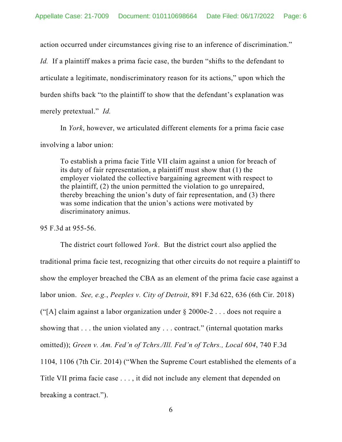action occurred under circumstances giving rise to an inference of discrimination."

*Id.* If a plaintiff makes a prima facie case, the burden "shifts to the defendant to articulate a legitimate, nondiscriminatory reason for its actions," upon which the burden shifts back "to the plaintiff to show that the defendant's explanation was merely pretextual." *Id.*

In *York*, however, we articulated different elements for a prima facie case involving a labor union:

To establish a prima facie Title VII claim against a union for breach of its duty of fair representation, a plaintiff must show that (1) the employer violated the collective bargaining agreement with respect to the plaintiff, (2) the union permitted the violation to go unrepaired, thereby breaching the union's duty of fair representation, and (3) there was some indication that the union's actions were motivated by discriminatory animus.

95 F.3d at 955-56.

The district court followed *York*. But the district court also applied the traditional prima facie test, recognizing that other circuits do not require a plaintiff to show the employer breached the CBA as an element of the prima facie case against a labor union. *See, e.g.*, *Peeples v. City of Detroit*, 891 F.3d 622, 636 (6th Cir. 2018) ("[A] claim against a labor organization under  $\S 2000e-2$ ... does not require a showing that . . . the union violated any . . . contract." (internal quotation marks omitted)); *Green v. Am. Fed'n of Tchrs./Ill. Fed'n of Tchrs., Local 604*, 740 F.3d 1104, 1106 (7th Cir. 2014) ("When the Supreme Court established the elements of a Title VII prima facie case . . . , it did not include any element that depended on breaking a contract.").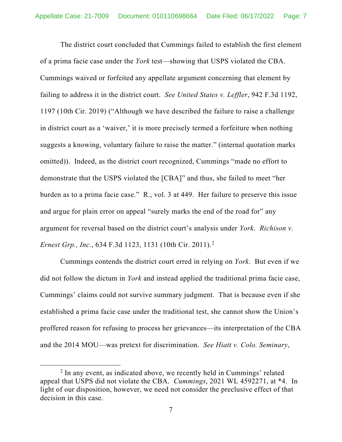The district court concluded that Cummings failed to establish the first element of a prima facie case under the *York* test—showing that USPS violated the CBA. Cummings waived or forfeited any appellate argument concerning that element by failing to address it in the district court. *See United States v. Leffler*, 942 F.3d 1192, 1197 (10th Cir. 2019) ("Although we have described the failure to raise a challenge in district court as a 'waiver,' it is more precisely termed a forfeiture when nothing suggests a knowing, voluntary failure to raise the matter." (internal quotation marks omitted)). Indeed, as the district court recognized, Cummings "made no effort to demonstrate that the USPS violated the [CBA]" and thus, she failed to meet "her burden as to a prima facie case." R., vol. 3 at 449. Her failure to preserve this issue and argue for plain error on appeal "surely marks the end of the road for" any argument for reversal based on the district court's analysis under *York*. *Richison v. Ernest Grp., Inc.*, 634 F.3d 1123, 1131 (10th Cir. 2011). [2](#page-6-0)

Cummings contends the district court erred in relying on *York*. But even if we did not follow the dictum in *York* and instead applied the traditional prima facie case, Cummings' claims could not survive summary judgment. That is because even if she established a prima facie case under the traditional test, she cannot show the Union's proffered reason for refusing to process her grievances—its interpretation of the CBA and the 2014 MOU—was pretext for discrimination. *See Hiatt v. Colo. Seminary*,

<span id="page-6-0"></span> $2$  In any event, as indicated above, we recently held in Cummings' related appeal that USPS did not violate the CBA. *Cummings*, 2021 WL 4592271, at \*4. In light of our disposition, however, we need not consider the preclusive effect of that decision in this case.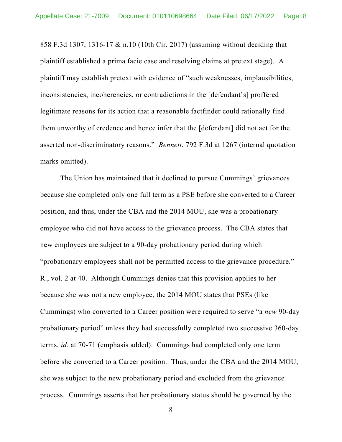858 F.3d 1307, 1316-17 & n.10 (10th Cir. 2017) (assuming without deciding that plaintiff established a prima facie case and resolving claims at pretext stage). A plaintiff may establish pretext with evidence of "such weaknesses, implausibilities, inconsistencies, incoherencies, or contradictions in the [defendant's] proffered legitimate reasons for its action that a reasonable factfinder could rationally find them unworthy of credence and hence infer that the [defendant] did not act for the asserted non-discriminatory reasons." *Bennett*, 792 F.3d at 1267 (internal quotation marks omitted).

The Union has maintained that it declined to pursue Cummings' grievances because she completed only one full term as a PSE before she converted to a Career position, and thus, under the CBA and the 2014 MOU, she was a probationary employee who did not have access to the grievance process. The CBA states that new employees are subject to a 90-day probationary period during which "probationary employees shall not be permitted access to the grievance procedure." R., vol. 2 at 40. Although Cummings denies that this provision applies to her because she was not a new employee, the 2014 MOU states that PSEs (like Cummings) who converted to a Career position were required to serve "a *new* 90-day probationary period" unless they had successfully completed two successive 360-day terms, *id.* at 70-71 (emphasis added). Cummings had completed only one term before she converted to a Career position. Thus, under the CBA and the 2014 MOU, she was subject to the new probationary period and excluded from the grievance process. Cummings asserts that her probationary status should be governed by the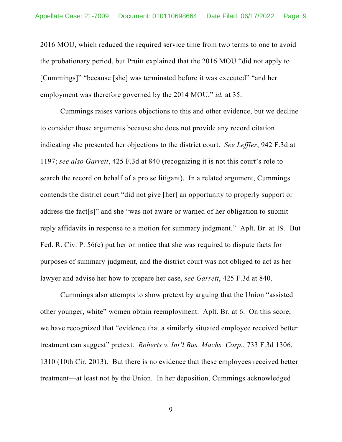2016 MOU, which reduced the required service time from two terms to one to avoid the probationary period, but Pruitt explained that the 2016 MOU "did not apply to [Cummings]" "because [she] was terminated before it was executed" "and her employment was therefore governed by the 2014 MOU," *id.* at 35.

Cummings raises various objections to this and other evidence, but we decline to consider those arguments because she does not provide any record citation indicating she presented her objections to the district court. *See Leffler*, 942 F.3d at 1197; *see also Garrett*, 425 F.3d at 840 (recognizing it is not this court's role to search the record on behalf of a pro se litigant). In a related argument, Cummings contends the district court "did not give [her] an opportunity to properly support or address the fact[s]" and she "was not aware or warned of her obligation to submit reply affidavits in response to a motion for summary judgment." Aplt. Br. at 19. But Fed. R. Civ. P. 56(c) put her on notice that she was required to dispute facts for purposes of summary judgment, and the district court was not obliged to act as her lawyer and advise her how to prepare her case, *see Garrett*, 425 F.3d at 840.

Cummings also attempts to show pretext by arguing that the Union "assisted other younger, white" women obtain reemployment. Aplt. Br. at 6. On this score, we have recognized that "evidence that a similarly situated employee received better treatment can suggest" pretext. *Roberts v. Int'l Bus. Machs. Corp.*, 733 F.3d 1306, 1310 (10th Cir. 2013). But there is no evidence that these employees received better treatment—at least not by the Union. In her deposition, Cummings acknowledged

9